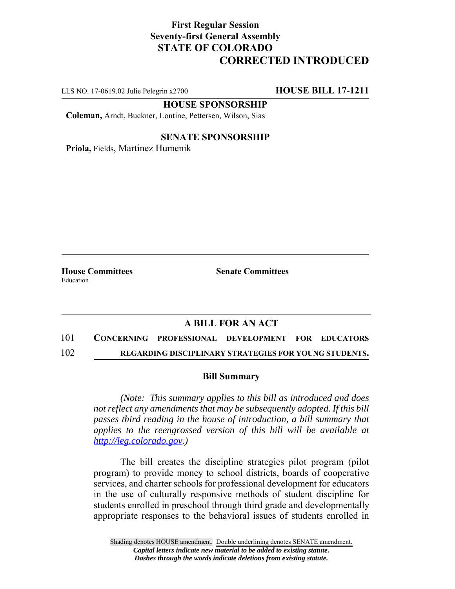## **First Regular Session Seventy-first General Assembly STATE OF COLORADO CORRECTED INTRODUCED**

LLS NO. 17-0619.02 Julie Pelegrin x2700 **HOUSE BILL 17-1211**

**HOUSE SPONSORSHIP**

**Coleman,** Arndt, Buckner, Lontine, Pettersen, Wilson, Sias

#### **SENATE SPONSORSHIP**

**Priola,** Fields, Martinez Humenik

Education

**House Committees Senate Committees** 

### **A BILL FOR AN ACT**

# 101 **CONCERNING PROFESSIONAL DEVELOPMENT FOR EDUCATORS**

102 **REGARDING DISCIPLINARY STRATEGIES FOR YOUNG STUDENTS.**

#### **Bill Summary**

*(Note: This summary applies to this bill as introduced and does not reflect any amendments that may be subsequently adopted. If this bill passes third reading in the house of introduction, a bill summary that applies to the reengrossed version of this bill will be available at http://leg.colorado.gov.)*

The bill creates the discipline strategies pilot program (pilot program) to provide money to school districts, boards of cooperative services, and charter schools for professional development for educators in the use of culturally responsive methods of student discipline for students enrolled in preschool through third grade and developmentally appropriate responses to the behavioral issues of students enrolled in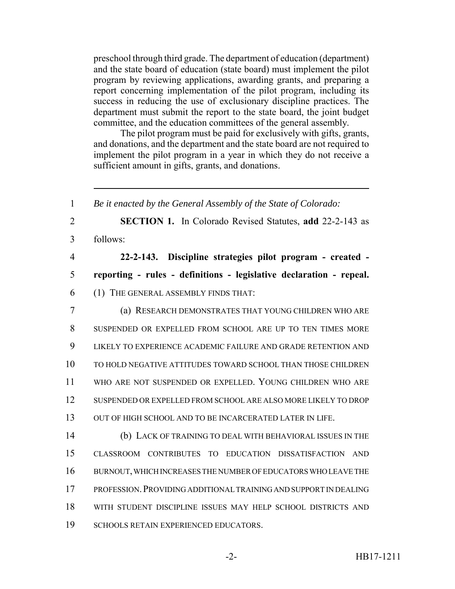preschool through third grade. The department of education (department) and the state board of education (state board) must implement the pilot program by reviewing applications, awarding grants, and preparing a report concerning implementation of the pilot program, including its success in reducing the use of exclusionary discipline practices. The department must submit the report to the state board, the joint budget committee, and the education committees of the general assembly.

The pilot program must be paid for exclusively with gifts, grants, and donations, and the department and the state board are not required to implement the pilot program in a year in which they do not receive a sufficient amount in gifts, grants, and donations.

 *Be it enacted by the General Assembly of the State of Colorado:* **SECTION 1.** In Colorado Revised Statutes, **add** 22-2-143 as follows: **22-2-143. Discipline strategies pilot program - created - reporting - rules - definitions - legislative declaration - repeal.** (1) THE GENERAL ASSEMBLY FINDS THAT: (a) RESEARCH DEMONSTRATES THAT YOUNG CHILDREN WHO ARE SUSPENDED OR EXPELLED FROM SCHOOL ARE UP TO TEN TIMES MORE LIKELY TO EXPERIENCE ACADEMIC FAILURE AND GRADE RETENTION AND TO HOLD NEGATIVE ATTITUDES TOWARD SCHOOL THAN THOSE CHILDREN WHO ARE NOT SUSPENDED OR EXPELLED. YOUNG CHILDREN WHO ARE SUSPENDED OR EXPELLED FROM SCHOOL ARE ALSO MORE LIKELY TO DROP OUT OF HIGH SCHOOL AND TO BE INCARCERATED LATER IN LIFE. (b) LACK OF TRAINING TO DEAL WITH BEHAVIORAL ISSUES IN THE CLASSROOM CONTRIBUTES TO EDUCATION DISSATISFACTION AND BURNOUT, WHICH INCREASES THE NUMBER OF EDUCATORS WHO LEAVE THE PROFESSION.PROVIDING ADDITIONAL TRAINING AND SUPPORT IN DEALING WITH STUDENT DISCIPLINE ISSUES MAY HELP SCHOOL DISTRICTS AND SCHOOLS RETAIN EXPERIENCED EDUCATORS.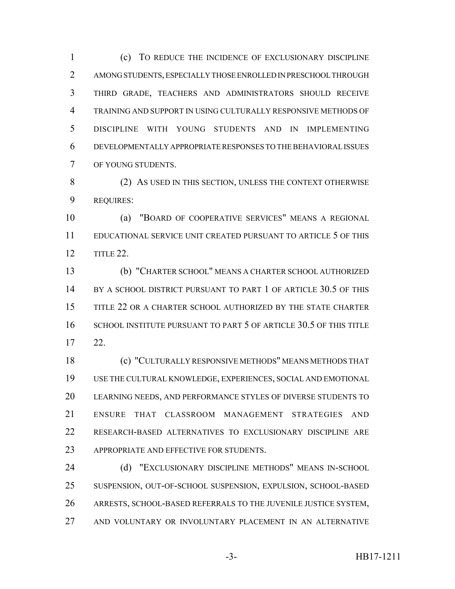(c) TO REDUCE THE INCIDENCE OF EXCLUSIONARY DISCIPLINE AMONG STUDENTS, ESPECIALLY THOSE ENROLLED IN PRESCHOOL THROUGH THIRD GRADE, TEACHERS AND ADMINISTRATORS SHOULD RECEIVE TRAINING AND SUPPORT IN USING CULTURALLY RESPONSIVE METHODS OF DISCIPLINE WITH YOUNG STUDENTS AND IN IMPLEMENTING DEVELOPMENTALLY APPROPRIATE RESPONSES TO THE BEHAVIORAL ISSUES OF YOUNG STUDENTS.

8 (2) AS USED IN THIS SECTION, UNLESS THE CONTEXT OTHERWISE REQUIRES:

 (a) "BOARD OF COOPERATIVE SERVICES" MEANS A REGIONAL EDUCATIONAL SERVICE UNIT CREATED PURSUANT TO ARTICLE 5 OF THIS TITLE 22.

 (b) "CHARTER SCHOOL" MEANS A CHARTER SCHOOL AUTHORIZED BY A SCHOOL DISTRICT PURSUANT TO PART 1 OF ARTICLE 30.5 OF THIS TITLE 22 OR A CHARTER SCHOOL AUTHORIZED BY THE STATE CHARTER SCHOOL INSTITUTE PURSUANT TO PART 5 OF ARTICLE 30.5 OF THIS TITLE 22.

 (c) "CULTURALLY RESPONSIVE METHODS" MEANS METHODS THAT USE THE CULTURAL KNOWLEDGE, EXPERIENCES, SOCIAL AND EMOTIONAL LEARNING NEEDS, AND PERFORMANCE STYLES OF DIVERSE STUDENTS TO ENSURE THAT CLASSROOM MANAGEMENT STRATEGIES AND RESEARCH-BASED ALTERNATIVES TO EXCLUSIONARY DISCIPLINE ARE 23 APPROPRIATE AND EFFECTIVE FOR STUDENTS.

24 (d) "EXCLUSIONARY DISCIPLINE METHODS" MEANS IN-SCHOOL SUSPENSION, OUT-OF-SCHOOL SUSPENSION, EXPULSION, SCHOOL-BASED ARRESTS, SCHOOL-BASED REFERRALS TO THE JUVENILE JUSTICE SYSTEM, AND VOLUNTARY OR INVOLUNTARY PLACEMENT IN AN ALTERNATIVE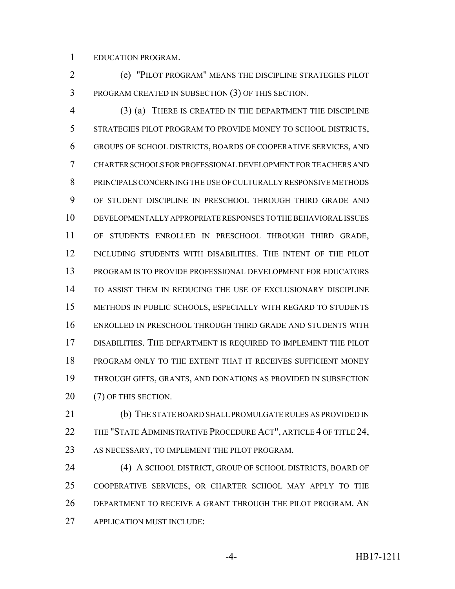EDUCATION PROGRAM.

 (e) "PILOT PROGRAM" MEANS THE DISCIPLINE STRATEGIES PILOT PROGRAM CREATED IN SUBSECTION (3) OF THIS SECTION.

 (3) (a) THERE IS CREATED IN THE DEPARTMENT THE DISCIPLINE STRATEGIES PILOT PROGRAM TO PROVIDE MONEY TO SCHOOL DISTRICTS, GROUPS OF SCHOOL DISTRICTS, BOARDS OF COOPERATIVE SERVICES, AND CHARTER SCHOOLS FOR PROFESSIONAL DEVELOPMENT FOR TEACHERS AND PRINCIPALS CONCERNING THE USE OF CULTURALLY RESPONSIVE METHODS OF STUDENT DISCIPLINE IN PRESCHOOL THROUGH THIRD GRADE AND DEVELOPMENTALLY APPROPRIATE RESPONSES TO THE BEHAVIORAL ISSUES OF STUDENTS ENROLLED IN PRESCHOOL THROUGH THIRD GRADE, INCLUDING STUDENTS WITH DISABILITIES. THE INTENT OF THE PILOT PROGRAM IS TO PROVIDE PROFESSIONAL DEVELOPMENT FOR EDUCATORS TO ASSIST THEM IN REDUCING THE USE OF EXCLUSIONARY DISCIPLINE METHODS IN PUBLIC SCHOOLS, ESPECIALLY WITH REGARD TO STUDENTS ENROLLED IN PRESCHOOL THROUGH THIRD GRADE AND STUDENTS WITH DISABILITIES. THE DEPARTMENT IS REQUIRED TO IMPLEMENT THE PILOT PROGRAM ONLY TO THE EXTENT THAT IT RECEIVES SUFFICIENT MONEY THROUGH GIFTS, GRANTS, AND DONATIONS AS PROVIDED IN SUBSECTION 20 (7) OF THIS SECTION.

 (b) THE STATE BOARD SHALL PROMULGATE RULES AS PROVIDED IN 22 THE "STATE ADMINISTRATIVE PROCEDURE ACT", ARTICLE 4 OF TITLE 24, AS NECESSARY, TO IMPLEMENT THE PILOT PROGRAM.

 (4) A SCHOOL DISTRICT, GROUP OF SCHOOL DISTRICTS, BOARD OF COOPERATIVE SERVICES, OR CHARTER SCHOOL MAY APPLY TO THE DEPARTMENT TO RECEIVE A GRANT THROUGH THE PILOT PROGRAM. AN APPLICATION MUST INCLUDE: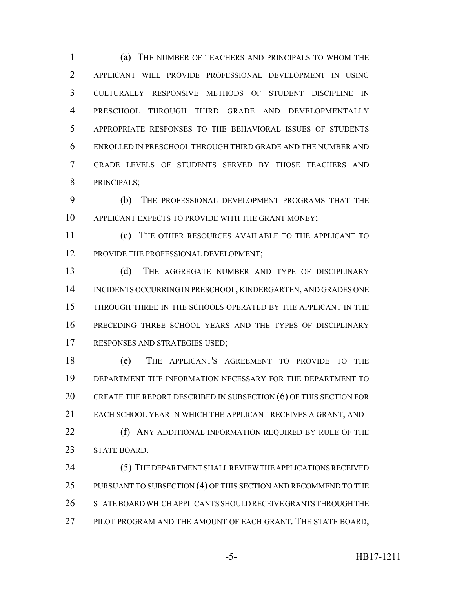(a) THE NUMBER OF TEACHERS AND PRINCIPALS TO WHOM THE APPLICANT WILL PROVIDE PROFESSIONAL DEVELOPMENT IN USING CULTURALLY RESPONSIVE METHODS OF STUDENT DISCIPLINE IN PRESCHOOL THROUGH THIRD GRADE AND DEVELOPMENTALLY APPROPRIATE RESPONSES TO THE BEHAVIORAL ISSUES OF STUDENTS ENROLLED IN PRESCHOOL THROUGH THIRD GRADE AND THE NUMBER AND GRADE LEVELS OF STUDENTS SERVED BY THOSE TEACHERS AND PRINCIPALS;

 (b) THE PROFESSIONAL DEVELOPMENT PROGRAMS THAT THE 10 APPLICANT EXPECTS TO PROVIDE WITH THE GRANT MONEY:

 (c) THE OTHER RESOURCES AVAILABLE TO THE APPLICANT TO 12 PROVIDE THE PROFESSIONAL DEVELOPMENT;

 (d) THE AGGREGATE NUMBER AND TYPE OF DISCIPLINARY INCIDENTS OCCURRING IN PRESCHOOL, KINDERGARTEN, AND GRADES ONE THROUGH THREE IN THE SCHOOLS OPERATED BY THE APPLICANT IN THE PRECEDING THREE SCHOOL YEARS AND THE TYPES OF DISCIPLINARY RESPONSES AND STRATEGIES USED;

 (e) THE APPLICANT'S AGREEMENT TO PROVIDE TO THE DEPARTMENT THE INFORMATION NECESSARY FOR THE DEPARTMENT TO 20 CREATE THE REPORT DESCRIBED IN SUBSECTION (6) OF THIS SECTION FOR EACH SCHOOL YEAR IN WHICH THE APPLICANT RECEIVES A GRANT; AND **(f)** ANY ADDITIONAL INFORMATION REQUIRED BY RULE OF THE

STATE BOARD.

 (5) THE DEPARTMENT SHALL REVIEW THE APPLICATIONS RECEIVED 25 PURSUANT TO SUBSECTION (4) OF THIS SECTION AND RECOMMEND TO THE STATE BOARD WHICH APPLICANTS SHOULD RECEIVE GRANTS THROUGH THE 27 PILOT PROGRAM AND THE AMOUNT OF EACH GRANT. THE STATE BOARD,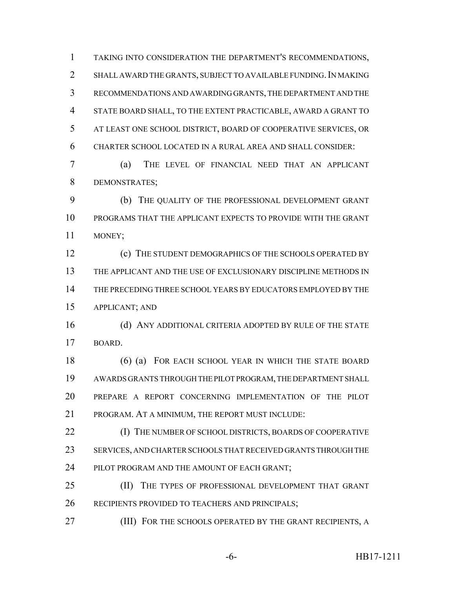TAKING INTO CONSIDERATION THE DEPARTMENT'S RECOMMENDATIONS, 2 SHALL AWARD THE GRANTS, SUBJECT TO AVAILABLE FUNDING. IN MAKING RECOMMENDATIONS AND AWARDING GRANTS, THE DEPARTMENT AND THE STATE BOARD SHALL, TO THE EXTENT PRACTICABLE, AWARD A GRANT TO AT LEAST ONE SCHOOL DISTRICT, BOARD OF COOPERATIVE SERVICES, OR CHARTER SCHOOL LOCATED IN A RURAL AREA AND SHALL CONSIDER:

 (a) THE LEVEL OF FINANCIAL NEED THAT AN APPLICANT DEMONSTRATES;

 (b) THE QUALITY OF THE PROFESSIONAL DEVELOPMENT GRANT PROGRAMS THAT THE APPLICANT EXPECTS TO PROVIDE WITH THE GRANT MONEY;

**(c)** THE STUDENT DEMOGRAPHICS OF THE SCHOOLS OPERATED BY THE APPLICANT AND THE USE OF EXCLUSIONARY DISCIPLINE METHODS IN THE PRECEDING THREE SCHOOL YEARS BY EDUCATORS EMPLOYED BY THE APPLICANT; AND

16 (d) ANY ADDITIONAL CRITERIA ADOPTED BY RULE OF THE STATE BOARD.

18 (6) (a) FOR EACH SCHOOL YEAR IN WHICH THE STATE BOARD AWARDS GRANTS THROUGH THE PILOT PROGRAM, THE DEPARTMENT SHALL PREPARE A REPORT CONCERNING IMPLEMENTATION OF THE PILOT PROGRAM. AT A MINIMUM, THE REPORT MUST INCLUDE:

 (I) THE NUMBER OF SCHOOL DISTRICTS, BOARDS OF COOPERATIVE SERVICES, AND CHARTER SCHOOLS THAT RECEIVED GRANTS THROUGH THE PILOT PROGRAM AND THE AMOUNT OF EACH GRANT;

 (II) THE TYPES OF PROFESSIONAL DEVELOPMENT THAT GRANT RECIPIENTS PROVIDED TO TEACHERS AND PRINCIPALS;

**(III) FOR THE SCHOOLS OPERATED BY THE GRANT RECIPIENTS, A**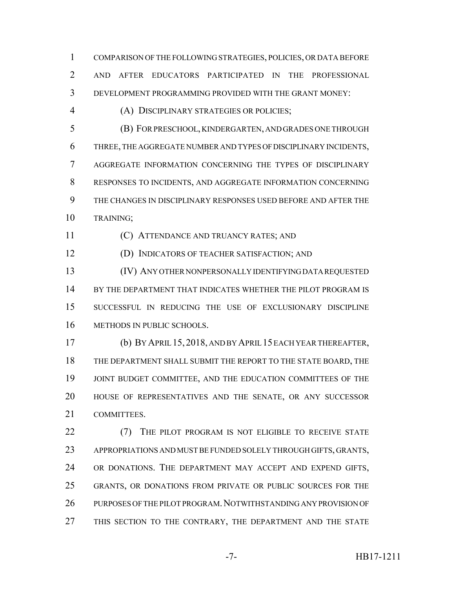COMPARISON OF THE FOLLOWING STRATEGIES, POLICIES, OR DATA BEFORE AND AFTER EDUCATORS PARTICIPATED IN THE PROFESSIONAL DEVELOPMENT PROGRAMMING PROVIDED WITH THE GRANT MONEY:

(A) DISCIPLINARY STRATEGIES OR POLICIES;

 (B) FOR PRESCHOOL, KINDERGARTEN, AND GRADES ONE THROUGH THREE, THE AGGREGATE NUMBER AND TYPES OF DISCIPLINARY INCIDENTS, AGGREGATE INFORMATION CONCERNING THE TYPES OF DISCIPLINARY RESPONSES TO INCIDENTS, AND AGGREGATE INFORMATION CONCERNING THE CHANGES IN DISCIPLINARY RESPONSES USED BEFORE AND AFTER THE TRAINING;

(C) ATTENDANCE AND TRUANCY RATES; AND

(D) INDICATORS OF TEACHER SATISFACTION; AND

 (IV) ANY OTHER NONPERSONALLY IDENTIFYING DATA REQUESTED BY THE DEPARTMENT THAT INDICATES WHETHER THE PILOT PROGRAM IS SUCCESSFUL IN REDUCING THE USE OF EXCLUSIONARY DISCIPLINE METHODS IN PUBLIC SCHOOLS.

 (b) BY APRIL 15, 2018, AND BY APRIL 15 EACH YEAR THEREAFTER, THE DEPARTMENT SHALL SUBMIT THE REPORT TO THE STATE BOARD, THE 19 JOINT BUDGET COMMITTEE, AND THE EDUCATION COMMITTEES OF THE HOUSE OF REPRESENTATIVES AND THE SENATE, OR ANY SUCCESSOR COMMITTEES.

22 (7) THE PILOT PROGRAM IS NOT ELIGIBLE TO RECEIVE STATE APPROPRIATIONS AND MUST BE FUNDED SOLELY THROUGH GIFTS, GRANTS, OR DONATIONS. THE DEPARTMENT MAY ACCEPT AND EXPEND GIFTS, GRANTS, OR DONATIONS FROM PRIVATE OR PUBLIC SOURCES FOR THE 26 PURPOSES OF THE PILOT PROGRAM. NOTWITHSTANDING ANY PROVISION OF 27 THIS SECTION TO THE CONTRARY, THE DEPARTMENT AND THE STATE